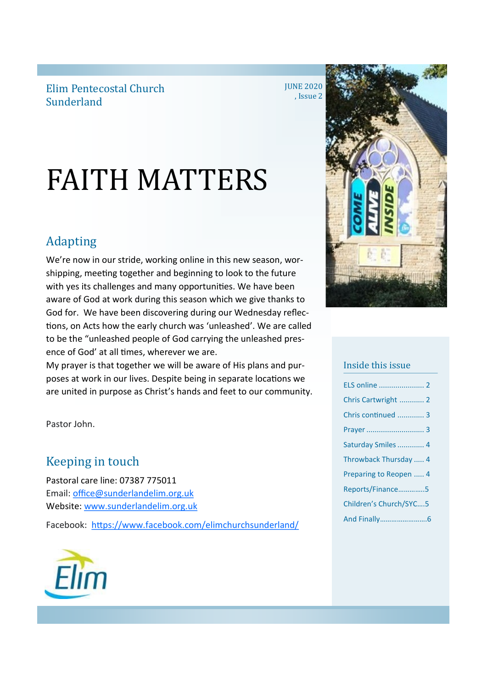Elim Pentecostal Church Sunderland

**JUNE 2020** , Issue 2

# FAITH MATTERS

## Adapting

We're now in our stride, working online in this new season, worshipping, meeting together and beginning to look to the future with yes its challenges and many opportunities. We have been aware of God at work during this season which we give thanks to God for. We have been discovering during our Wednesday reflections, on Acts how the early church was 'unleashed'. We are called to be the "unleashed people of God carrying the unleashed presence of God' at all times, wherever we are.

My prayer is that together we will be aware of His plans and purposes at work in our lives. Despite being in separate locations we are united in purpose as Christ's hands and feet to our community.

Pastor John.

## Keeping in touch

Pastoral care line: 07387 775011 Email: [office@sunderlandelim.org.uk](about:blank) Website: [www.sunderlandelim.org.uk](http://www.sunderlandelim.org.uk)

Facebook: [https://www.facebook.com/elimchurchsunderland/](about:blank)





### Inside this issue

| ELS online  2          |
|------------------------|
| Chris Cartwright  2    |
| Chris continued  3     |
|                        |
| Saturday Smiles  4     |
| Throwback Thursday  4  |
| Preparing to Reopen  4 |
| Reports/Finance5       |
| Children's Church/SYC5 |
|                        |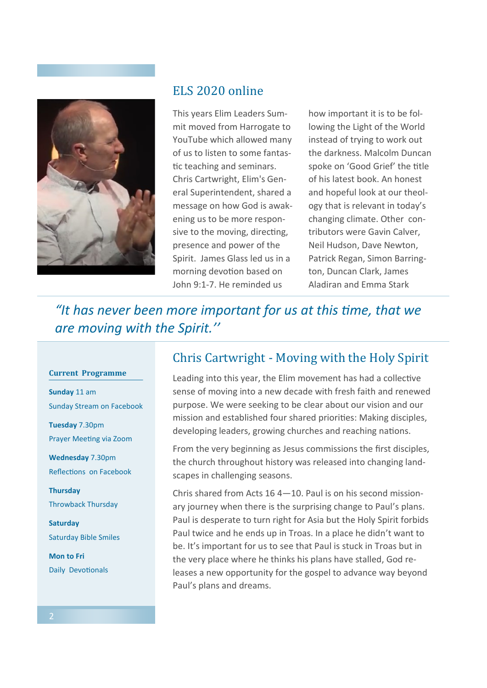

## ELS 2020 online

This years Elim Leaders Summit moved from Harrogate to YouTube which allowed many of us to listen to some fantastic teaching and seminars. Chris Cartwright, Elim's General Superintendent, shared a message on how God is awakening us to be more responsive to the moving, directing, presence and power of the Spirit. James Glass led us in a morning devotion based on John 9:1-7. He reminded us

how important it is to be following the Light of the World instead of trying to work out the darkness. Malcolm Duncan spoke on 'Good Grief' the title of his latest book. An honest and hopeful look at our theology that is relevant in today's changing climate. Other contributors were Gavin Calver, Neil Hudson, Dave Newton, Patrick Regan, Simon Barrington, Duncan Clark, James Aladiran and Emma Stark

*"It has never been more important for us at this time, that we are moving with the Spirit.''*

#### **Current Programme**

**Sunday** 11 am Sunday Stream on Facebook

**Tuesday** 7.30pm Prayer Meeting via Zoom

**Wednesday** 7.30pm Reflections on Facebook

**Thursday**  Throwback Thursday

**Saturday**  Saturday Bible Smiles

**Mon to Fri**  Daily Devotionals

## Chris Cartwright - Moving with the Holy Spirit

Leading into this year, the Elim movement has had a collective sense of moving into a new decade with fresh faith and renewed purpose. We were seeking to be clear about our vision and our mission and established four shared priorities: Making disciples, developing leaders, growing churches and reaching nations.

From the very beginning as Jesus commissions the first disciples, the church throughout history was released into changing landscapes in challenging seasons.

Chris shared from Acts 16 4—10. Paul is on his second missionary journey when there is the surprising change to Paul's plans. Paul is desperate to turn right for Asia but the Holy Spirit forbids Paul twice and he ends up in Troas. In a place he didn't want to be. It's important for us to see that Paul is stuck in Troas but in the very place where he thinks his plans have stalled, God releases a new opportunity for the gospel to advance way beyond Paul's plans and dreams.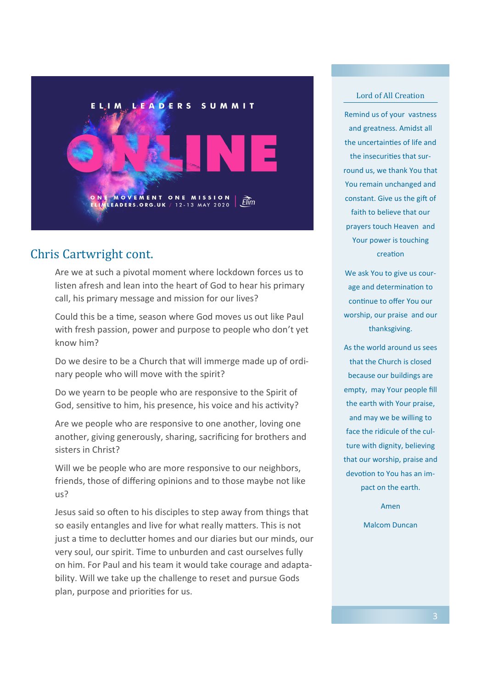

## Chris Cartwright cont.

Are we at such a pivotal moment where lockdown forces us to listen afresh and lean into the heart of God to hear his primary call, his primary message and mission for our lives?

Could this be a time, season where God moves us out like Paul with fresh passion, power and purpose to people who don't yet know him?

Do we desire to be a Church that will immerge made up of ordinary people who will move with the spirit?

Do we yearn to be people who are responsive to the Spirit of God, sensitive to him, his presence, his voice and his activity?

Are we people who are responsive to one another, loving one another, giving generously, sharing, sacrificing for brothers and sisters in Christ?

Will we be people who are more responsive to our neighbors, friends, those of differing opinions and to those maybe not like us?

Jesus said so often to his disciples to step away from things that so easily entangles and live for what really matters. This is not just a time to declutter homes and our diaries but our minds, our very soul, our spirit. Time to unburden and cast ourselves fully on him. For Paul and his team it would take courage and adaptability. Will we take up the challenge to reset and pursue Gods plan, purpose and priorities for us.

#### Lord of All Creation

Remind us of your vastness and greatness. Amidst all the uncertainties of life and the insecurities that surround us, we thank You that You remain unchanged and constant. Give us the gift of faith to believe that our prayers touch Heaven and Your power is touching creation

We ask You to give us courage and determination to continue to offer You our worship, our praise and our thanksgiving.

As the world around us sees that the Church is closed because our buildings are empty, may Your people fill the earth with Your praise, and may we be willing to face the ridicule of the culture with dignity, believing that our worship, praise and devotion to You has an impact on the earth.

Amen

Malcom Duncan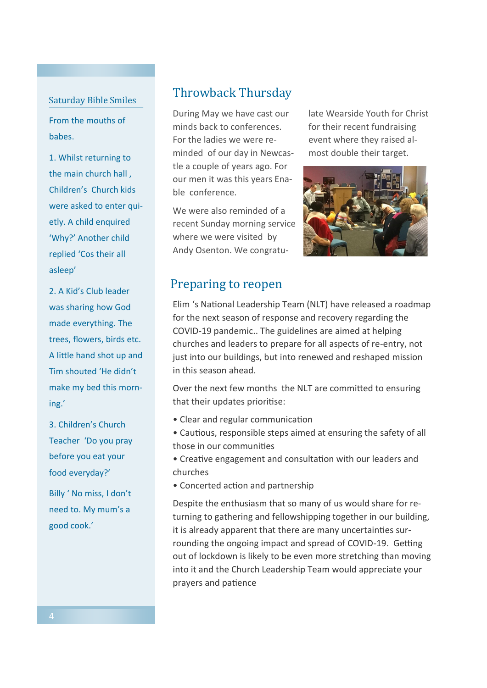#### Saturday Bible Smiles

From the mouths of babes.

1. Whilst returning to the main church hall , Children's Church kids were asked to enter quietly. A child enquired 'Why?' Another child replied 'Cos their all asleep'

2. A Kid's Club leader was sharing how God made everything. The trees, flowers, birds etc. A little hand shot up and Tim shouted 'He didn't make my bed this morning.'

3. Children's Church Teacher 'Do you pray before you eat your food everyday?'

Billy ' No miss, I don't need to. My mum's a good cook.'

## Throwback Thursday

During May we have cast our minds back to conferences. For the ladies we were reminded of our day in Newcastle a couple of years ago. For our men it was this years Enable conference.

We were also reminded of a recent Sunday morning service where we were visited by Andy Osenton. We congratulate Wearside Youth for Christ for their recent fundraising event where they raised almost double their target.



## Preparing to reopen

Elim 's National Leadership Team (NLT) have released a roadmap for the next season of response and recovery regarding the COVID-19 pandemic.. The guidelines are aimed at helping churches and leaders to prepare for all aspects of re-entry, not just into our buildings, but into renewed and reshaped mission in this season ahead.

Over the next few months the NLT are committed to ensuring that their updates prioritise:

- Clear and regular communication
- Cautious, responsible steps aimed at ensuring the safety of all those in our communities
- Creative engagement and consultation with our leaders and churches
- Concerted action and partnership

Despite the enthusiasm that so many of us would share for returning to gathering and fellowshipping together in our building, it is already apparent that there are many uncertainties surrounding the ongoing impact and spread of COVID-19. Getting out of lockdown is likely to be even more stretching than moving into it and the Church Leadership Team would appreciate your prayers and patience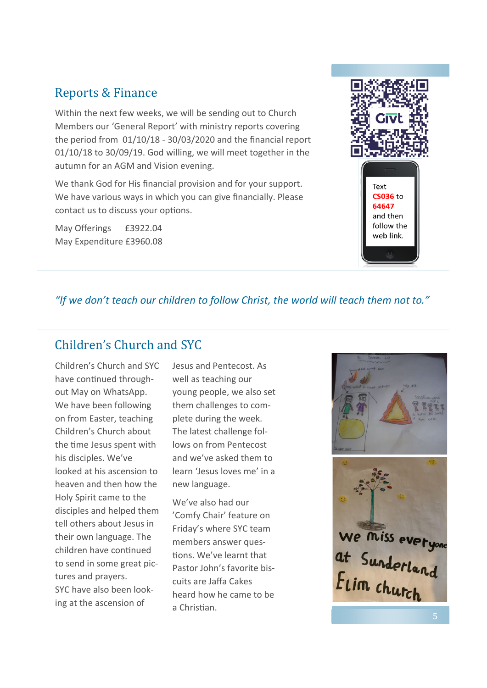## Reports & Finance

Within the next few weeks, we will be sending out to Church Members our 'General Report' with ministry reports covering the period from 01/10/18 - 30/03/2020 and the financial report 01/10/18 to 30/09/19. God willing, we will meet together in the autumn for an AGM and Vision evening.

We thank God for His financial provision and for your support. We have various ways in which you can give financially. Please contact us to discuss your options.

May Offerings £3922.04 May Expenditure £3960.08



## *"If we don't teach our children to follow Christ, the world will teach them not to."*

## Children's Church and SYC

Children's Church and SYC have continued throughout May on WhatsApp. We have been following on from Easter, teaching Children's Church about the time Jesus spent with his disciples. We've looked at his ascension to heaven and then how the Holy Spirit came to the disciples and helped them tell others about Jesus in their own language. The children have continued to send in some great pictures and prayers. SYC have also been looking at the ascension of

Jesus and Pentecost. As well as teaching our young people, we also set them challenges to complete during the week. The latest challenge follows on from Pentecost and we've asked them to learn 'Jesus loves me' in a new language.

We've also had our 'Comfy Chair' feature on Friday's where SYC team members answer questions. We've learnt that Pastor John's favorite biscuits are Jaffa Cakes heard how he came to be a Christian.